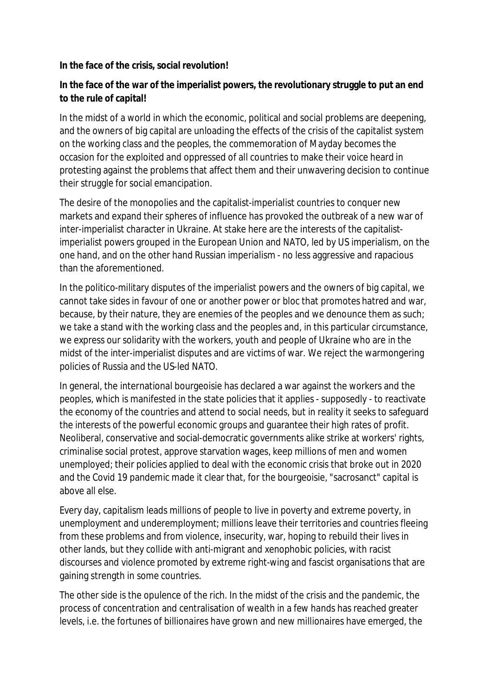## **In the face of the crisis, social revolution!**

## **In the face of the war of the imperialist powers, the revolutionary struggle to put an end to the rule of capital!**

In the midst of a world in which the economic, political and social problems are deepening, and the owners of big capital are unloading the effects of the crisis of the capitalist system on the working class and the peoples, the commemoration of Mayday becomes the occasion for the exploited and oppressed of all countries to make their voice heard in protesting against the problems that affect them and their unwavering decision to continue their struggle for social emancipation.

The desire of the monopolies and the capitalist-imperialist countries to conquer new markets and expand their spheres of influence has provoked the outbreak of a new war of inter-imperialist character in Ukraine. At stake here are the interests of the capitalistimperialist powers grouped in the European Union and NATO, led by US imperialism, on the one hand, and on the other hand Russian imperialism - no less aggressive and rapacious than the aforementioned.

In the politico-military disputes of the imperialist powers and the owners of big capital, we cannot take sides in favour of one or another power or bloc that promotes hatred and war, because, by their nature, they are enemies of the peoples and we denounce them as such; we take a stand with the working class and the peoples and, in this particular circumstance, we express our solidarity with the workers, youth and people of Ukraine who are in the midst of the inter-imperialist disputes and are victims of war. We reject the warmongering policies of Russia and the US-led NATO.

In general, the international bourgeoisie has declared a war against the workers and the peoples, which is manifested in the state policies that it applies - supposedly - to reactivate the economy of the countries and attend to social needs, but in reality it seeks to safeguard the interests of the powerful economic groups and guarantee their high rates of profit. Neoliberal, conservative and social-democratic governments alike strike at workers' rights, criminalise social protest, approve starvation wages, keep millions of men and women unemployed; their policies applied to deal with the economic crisis that broke out in 2020 and the Covid 19 pandemic made it clear that, for the bourgeoisie, "sacrosanct" capital is above all else.

Every day, capitalism leads millions of people to live in poverty and extreme poverty, in unemployment and underemployment; millions leave their territories and countries fleeing from these problems and from violence, insecurity, war, hoping to rebuild their lives in other lands, but they collide with anti-migrant and xenophobic policies, with racist discourses and violence promoted by extreme right-wing and fascist organisations that are gaining strength in some countries.

The other side is the opulence of the rich. In the midst of the crisis and the pandemic, the process of concentration and centralisation of wealth in a few hands has reached greater levels, i.e. the fortunes of billionaires have grown and new millionaires have emerged, the